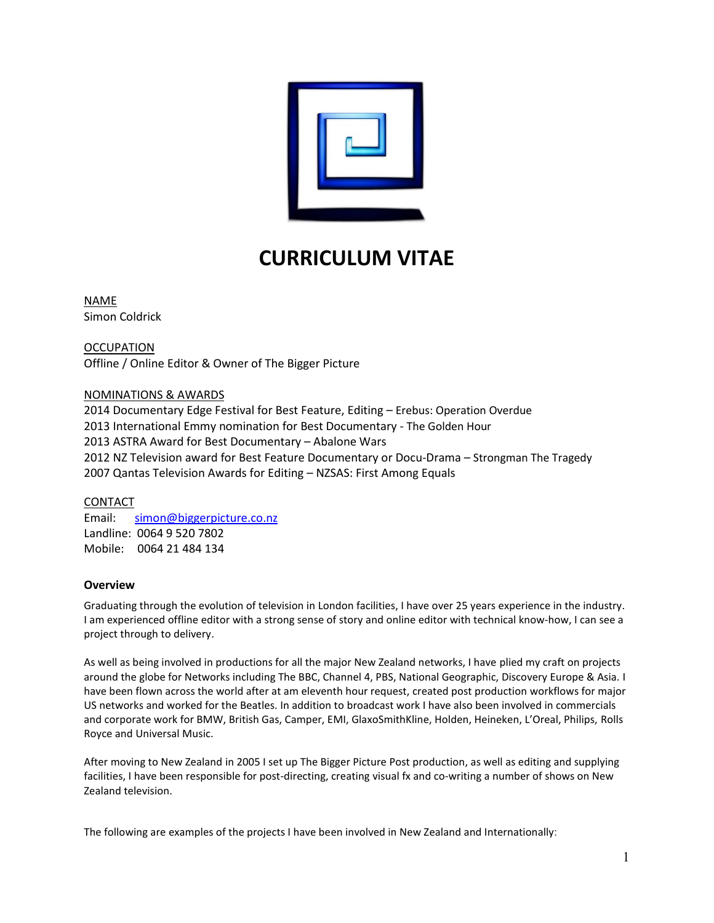

# **CURRICULUM VITAE**

NAME Simon Coldrick

**OCCUPATION** Offline / Online Editor & Owner of The Bigger Picture

# NOMINATIONS & AWARDS

2014 Documentary Edge Festival for Best Feature, Editing – Erebus: Operation Overdue 2013 International Emmy nomination for Best Documentary - The Golden Hour 2013 ASTRA Award for Best Documentary – Abalone Wars 2012 NZ Television award for Best Feature Documentary or Docu-Drama – Strongman The Tragedy 2007 Qantas Television Awards for Editing – NZSAS: First Among Equals

## CONTACT

Email: [simon@biggerpicture.co.nz](mailto:simon@biggerpicture.co.nz) Landline: 0064 9 520 7802 Mobile: 0064 21 484 134

# **Overview**

Graduating through the evolution of television in London facilities, I have over 25 years experience in the industry. I am experienced offline editor with a strong sense of story and online editor with technical know-how, I can see a project through to delivery.

As well as being involved in productions for all the major New Zealand networks, I have plied my craft on projects around the globe for Networks including The BBC, Channel 4, PBS, National Geographic, Discovery Europe & Asia. I have been flown across the world after at am eleventh hour request, created post production workflows for major US networks and worked for the Beatles. In addition to broadcast work I have also been involved in commercials and corporate work for BMW, British Gas, Camper, EMI, GlaxoSmithKline, Holden, Heineken, L'Oreal, Philips, Rolls Royce and Universal Music.

After moving to New Zealand in 2005 I set up The Bigger Picture Post production, as well as editing and supplying facilities, I have been responsible for post-directing, creating visual fx and co-writing a number of shows on New Zealand television.

The following are examples of the projects I have been involved in New Zealand and Internationally: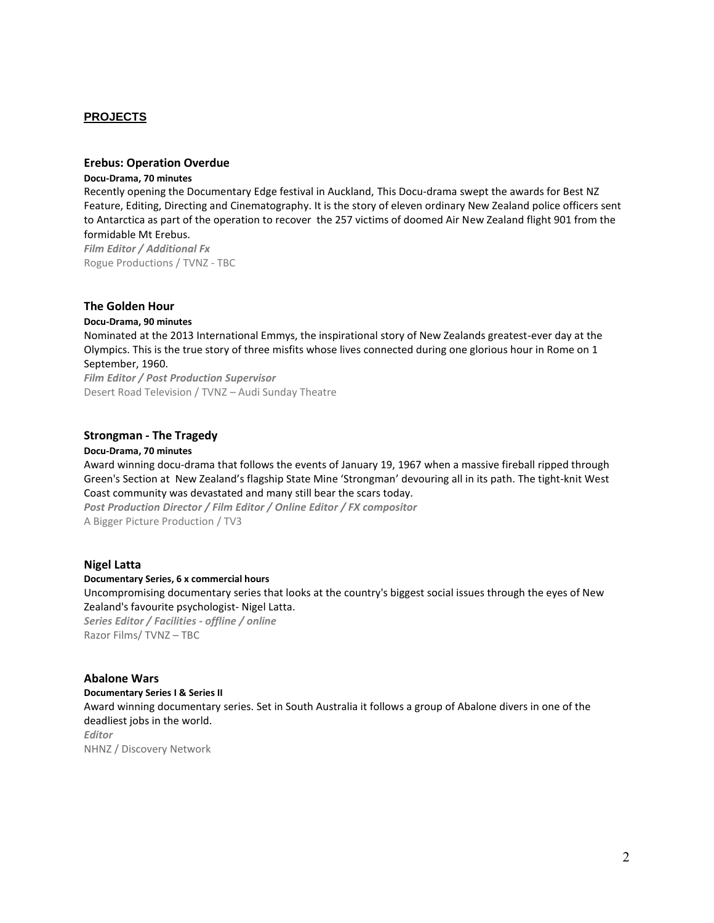## **PROJECTS**

## **Erebus: Operation Overdue**

#### **Docu-Drama, 70 minutes**

Recently opening the Documentary Edge festival in Auckland, This Docu-drama swept the awards for Best NZ Feature, Editing, Directing and Cinematography. It is the story of eleven ordinary New Zealand police officers sent to Antarctica as part of the operation to recover the 257 victims of doomed Air New Zealand flight 901 from the formidable Mt Erebus.

*Film Editor / Additional Fx* Rogue Productions / TVNZ - TBC

#### **The Golden Hour**

#### **Docu-Drama, 90 minutes**

Nominated at the 2013 International Emmys, the inspirational story of New Zealands greatest-ever day at the Olympics. This is the true story of three misfits whose lives connected during one glorious hour in Rome on 1 September, 1960.

*Film Editor / Post Production Supervisor* Desert Road Television / TVNZ – Audi Sunday Theatre

#### **Strongman - The Tragedy**

#### **Docu-Drama, 70 minutes**

Award winning docu-drama that follows the events of January 19, 1967 when a massive fireball ripped through Green's Section at New Zealand's flagship State Mine 'Strongman' devouring all in its path. The tight-knit West Coast community was devastated and many still bear the scars today.

*Post Production Director / Film Editor / Online Editor / FX compositor* A Bigger Picture Production / TV3

#### **Nigel Latta**

#### **Documentary Series, 6 x commercial hours**

Uncompromising documentary series that looks at the country's biggest social issues through the eyes of New Zealand's favourite psychologist- Nigel Latta.

*Series Editor / Facilities - offline / online* Razor Films/ TVNZ – TBC

# **Abalone Wars**

**Documentary Series I & Series II**  Award winning documentary series. Set in South Australia it follows a group of Abalone divers in one of the deadliest jobs in the world. *Editor* NHNZ / Discovery Network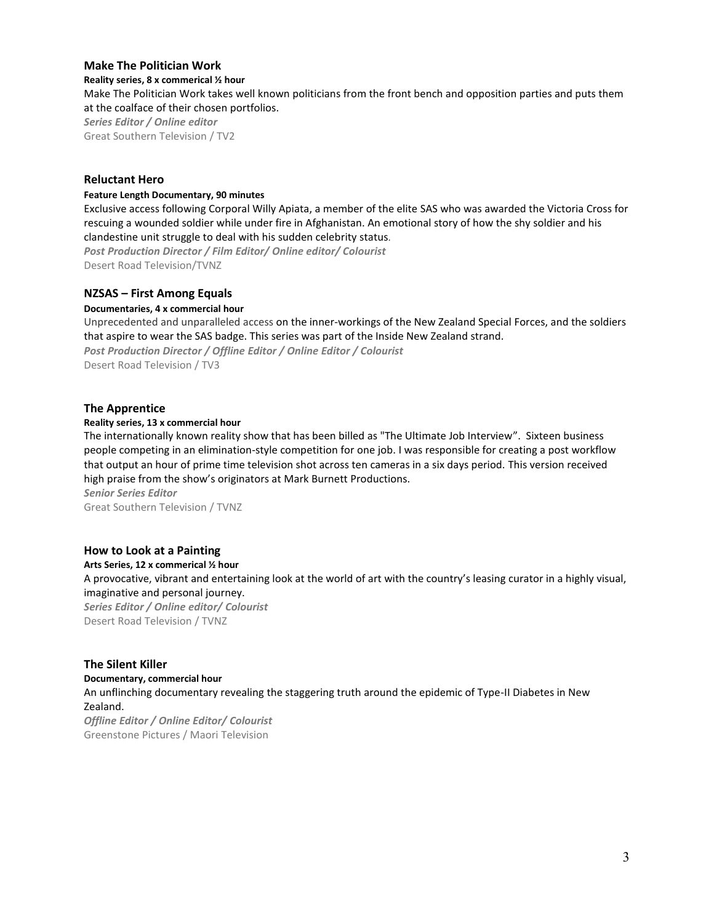## **Make The Politician Work**

**Reality series, 8 x commerical ½ hour**

Make The Politician Work takes well known politicians from the front bench and opposition parties and puts them at the coalface of their chosen portfolios. *Series Editor / Online editor* Great Southern Television / TV2

## **Reluctant Hero**

#### **Feature Length Documentary, 90 minutes**

Exclusive access following Corporal Willy Apiata, a member of the elite SAS who was awarded the Victoria Cross for rescuing a wounded soldier while under fire in Afghanistan. An emotional story of how the shy soldier and his clandestine unit struggle to deal with his sudden celebrity status. *Post Production Director / Film Editor/ Online editor/ Colourist*

Desert Road Television/TVNZ

## **NZSAS – First Among Equals**

#### **Documentaries, 4 x commercial hour**

Unprecedented and unparalleled access on the inner-workings of the New Zealand Special Forces, and the soldiers that aspire to wear the SAS badge. This series was part of the Inside New Zealand strand. *Post Production Director / Offline Editor / Online Editor / Colourist* Desert Road Television / TV3

#### **The Apprentice**

#### **Reality series, 13 x commercial hour**

The internationally known reality show that has been billed as "The Ultimate Job Interview". Sixteen business people competing in an elimination-style competition for one job. I was responsible for creating a post workflow that output an hour of prime time television shot across ten cameras in a six days period. This version received high praise from the show's originators at Mark Burnett Productions. *Senior Series Editor*

Great Southern Television / TVNZ

#### **How to Look at a Painting**

**Arts Series, 12 x commerical ½ hour** A provocative, vibrant and entertaining look at the world of art with the country's leasing curator in a highly visual, imaginative and personal journey. *Series Editor / Online editor/ Colourist* Desert Road Television / TVNZ

#### **The Silent Killer**

#### **Documentary, commercial hour**

An unflinching documentary revealing the staggering truth around the epidemic of Type-II Diabetes in New Zealand.

*Offline Editor / Online Editor/ Colourist* Greenstone Pictures / Maori Television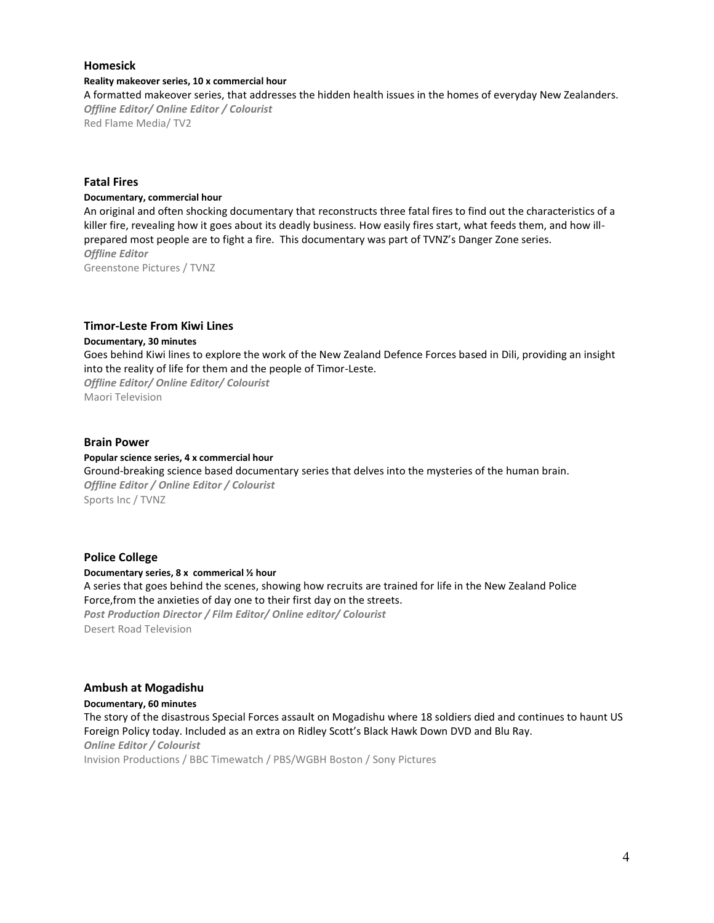## **Homesick**

#### **Reality makeover series, 10 x commercial hour**

A formatted makeover series, that addresses the hidden health issues in the homes of everyday New Zealanders. *Offline Editor/ Online Editor / Colourist*

Red Flame Media/ TV2

## **Fatal Fires**

#### **Documentary, commercial hour**

An original and often shocking documentary that reconstructs three fatal fires to find out the characteristics of a killer fire, revealing how it goes about its deadly business. How easily fires start, what feeds them, and how illprepared most people are to fight a fire. This documentary was part of TVNZ's Danger Zone series. *Offline Editor* Greenstone Pictures / TVNZ

#### **Timor-Leste From Kiwi Lines**

#### **Documentary, 30 minutes**

Goes behind Kiwi lines to explore the work of the New Zealand Defence Forces based in Dili, providing an insight into the reality of life for them and the people of Timor-Leste.

*Offline Editor/ Online Editor/ Colourist* Maori Television

## **Brain Power**

#### **Popular science series, 4 x commercial hour**

Ground-breaking science based documentary series that delves into the mysteries of the human brain. *Offline Editor / Online Editor / Colourist* Sports Inc / TVNZ

## **Police College**

#### **Documentary series, 8 x commerical ½ hour**

A series that goes behind the scenes, showing how recruits are trained for life in the New Zealand Police Force,from the anxieties of day one to their first day on the streets. *Post Production Director / Film Editor/ Online editor/ Colourist* Desert Road Television

#### **Ambush at Mogadishu**

**Documentary, 60 minutes** The story of the disastrous Special Forces assault on Mogadishu where 18 soldiers died and continues to haunt US Foreign Policy today. Included as an extra on Ridley Scott's Black Hawk Down DVD and Blu Ray. *Online Editor / Colourist*

Invision Productions / BBC Timewatch / PBS/WGBH Boston / Sony Pictures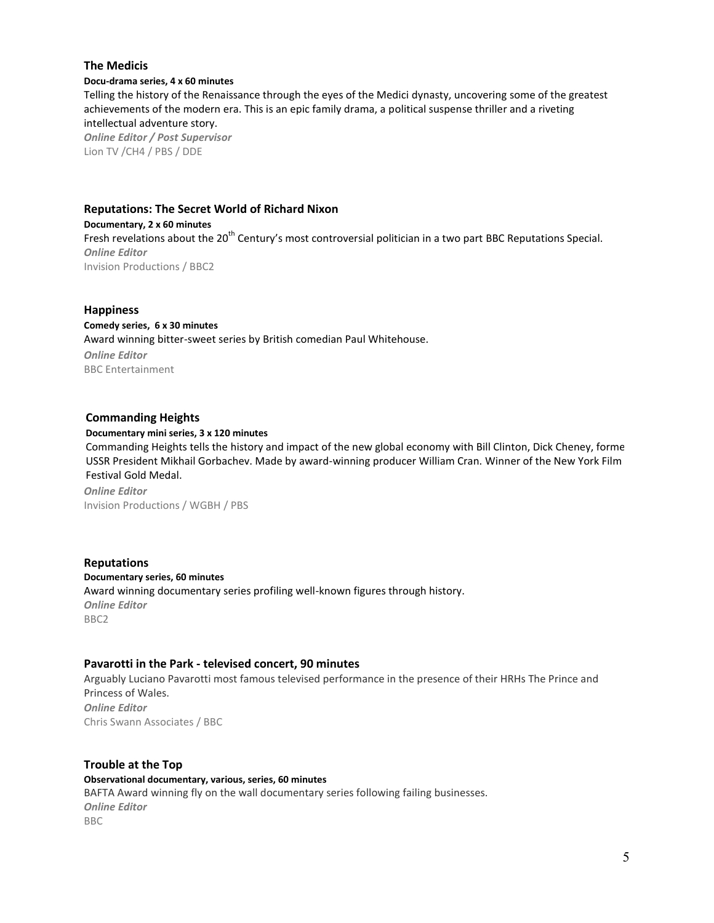## **The Medicis**

#### **Docu-drama series, 4 x 60 minutes**

Telling the history of the Renaissance through the eyes of the Medici dynasty, uncovering some of the greatest achievements of the modern era. This is an epic family drama, a political suspense thriller and a riveting intellectual adventure story.

*Online Editor / Post Supervisor* Lion TV /CH4 / PBS / DDE

## **Reputations: The Secret World of Richard Nixon**

**Documentary, 2 x 60 minutes** Fresh revelations about the 20<sup>th</sup> Century's most controversial politician in a two part BBC Reputations Special. *Online Editor* Invision Productions / BBC2

#### **Happiness**

## **Comedy series, 6 x 30 minutes**

Award winning bitter-sweet series by British comedian Paul Whitehouse. *Online Editor* BBC Entertainment

## **Commanding Heights**

#### **Documentary mini series, 3 x 120 minutes**

Commanding Heights tells the history and impact of the new global economy with Bill Clinton, Dick Cheney, former USSR President Mikhail Gorbachev. Made by award-winning producer William Cran. Winner of the New York Film Festival Gold Medal.

*Online Editor* Invision Productions / WGBH / PBS

**Reputations Documentary series, 60 minutes** Award winning documentary series profiling well-known figures through history. *Online Editor* BBC2

## **Pavarotti in the Park - televised concert, 90 minutes**

Arguably Luciano Pavarotti most famous televised performance in the presence of their HRHs The Prince and Princess of Wales. *Online Editor* Chris Swann Associates / BBC

# **Trouble at the Top Observational documentary, various, series, 60 minutes**  BAFTA Award winning fly on the wall documentary series following failing businesses. *Online Editor* BBC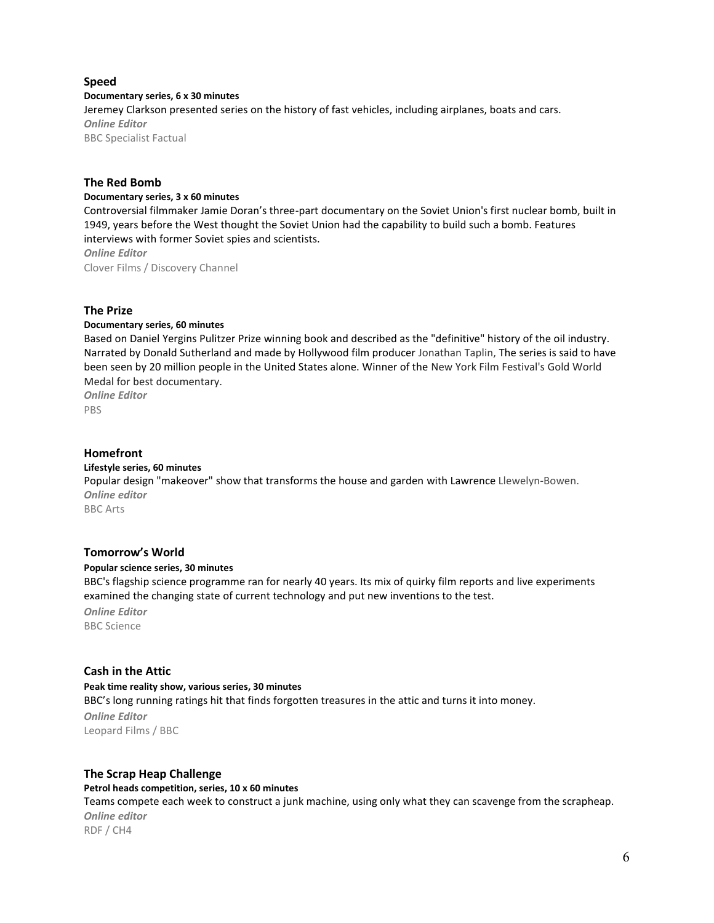## **Speed**

## **Documentary series, 6 x 30 minutes**

Jeremey Clarkson presented series on the history of fast vehicles, including airplanes, boats and cars. *Online Editor* BBC Specialist Factual

## **The Red Bomb**

#### **Documentary series, 3 x 60 minutes**

Controversial filmmaker Jamie Doran's three-part documentary on the Soviet Union's first nuclear bomb, built in 1949, years before the West thought the Soviet Union had the capability to build such a bomb. Features interviews with former Soviet spies and scientists.

*Online Editor*

Clover Films / Discovery Channel

## **The Prize**

## **Documentary series, 60 minutes**

Based on Daniel Yergins Pulitzer Prize winning book and described as the "definitive" history of the oil industry. Narrated by Donald Sutherland and made by Hollywood film producer Jonathan Taplin, The series is said to have been seen by 20 million people in the United States alone. Winner of the New York Film Festival's Gold World Medal for best documentary.

*Online Editor* PBS

#### **Homefront**

#### **Lifestyle series, 60 minutes**

Popular design "makeover" show that transforms the house and garden with Lawrence Llewelyn-Bowen. *Online editor*

BBC Arts

## **Tomorrow's World**

#### **Popular science series, 30 minutes**

BBC's flagship science programme ran for nearly 40 years. Its mix of quirky film reports and live experiments examined the changing state of current technology and put new inventions to the test.

*Online Editor*

BBC Science

## **Cash in the Attic**

**Peak time reality show, various series, 30 minutes** BBC's long running ratings hit that finds forgotten treasures in the attic and turns it into money.

*Online Editor* Leopard Films / BBC

#### **The Scrap Heap Challenge**

## **Petrol heads competition, series, 10 x 60 minutes**

Teams compete each week to construct a junk machine, using only what they can scavenge from the scrapheap. *Online editor* RDF / CH4